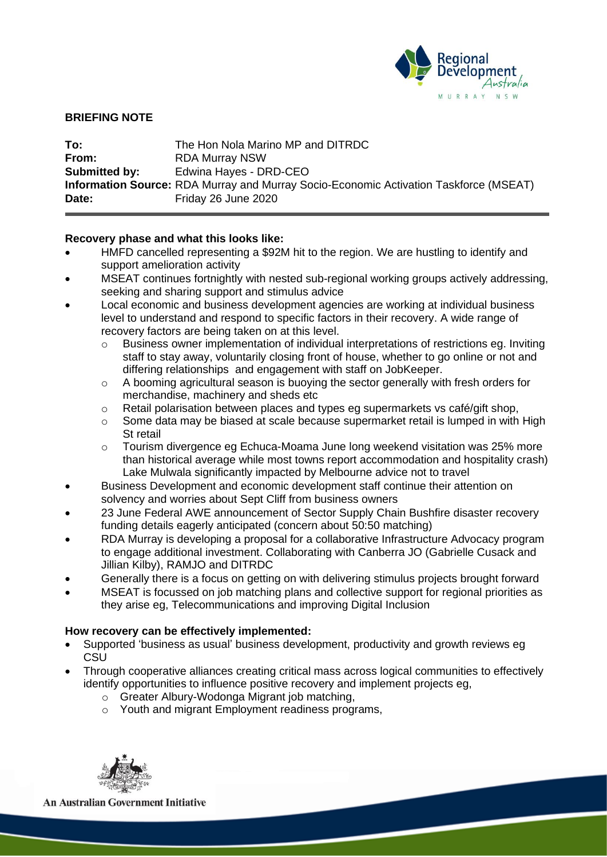

## **BRIEFING NOTE**

| To:           | The Hon Nola Marino MP and DITRDC                                                            |
|---------------|----------------------------------------------------------------------------------------------|
| From:         | <b>RDA Murray NSW</b>                                                                        |
| Submitted by: | Edwina Hayes - DRD-CEO                                                                       |
|               | <b>Information Source:</b> RDA Murray and Murray Socio-Economic Activation Taskforce (MSEAT) |
| Date:         | Friday 26 June 2020                                                                          |

## **Recovery phase and what this looks like:**

- HMFD cancelled representing a \$92M hit to the region. We are hustling to identify and support amelioration activity
- MSEAT continues fortnightly with nested sub-regional working groups actively addressing, seeking and sharing support and stimulus advice
- Local economic and business development agencies are working at individual business level to understand and respond to specific factors in their recovery. A wide range of recovery factors are being taken on at this level.
	- o Business owner implementation of individual interpretations of restrictions eg. Inviting staff to stay away, voluntarily closing front of house, whether to go online or not and differing relationships and engagement with staff on JobKeeper.
	- $\circ$  A booming agricultural season is buoying the sector generally with fresh orders for merchandise, machinery and sheds etc
	- $\circ$  Retail polarisation between places and types eg supermarkets vs café/gift shop,
	- o Some data may be biased at scale because supermarket retail is lumped in with High St retail
	- o Tourism divergence eg Echuca-Moama June long weekend visitation was 25% more than historical average while most towns report accommodation and hospitality crash) Lake Mulwala significantly impacted by Melbourne advice not to travel
- Business Development and economic development staff continue their attention on solvency and worries about Sept Cliff from business owners
- 23 June Federal AWE announcement of Sector Supply Chain Bushfire disaster recovery funding details eagerly anticipated (concern about 50:50 matching)
- RDA Murray is developing a proposal for a collaborative Infrastructure Advocacy program to engage additional investment. Collaborating with Canberra JO (Gabrielle Cusack and Jillian Kilby), RAMJO and DITRDC
- Generally there is a focus on getting on with delivering stimulus projects brought forward
- MSEAT is focussed on job matching plans and collective support for regional priorities as they arise eg, Telecommunications and improving Digital Inclusion

# **How recovery can be effectively implemented:**

- Supported 'business as usual' business development, productivity and growth reviews eg **CSU**
- Through cooperative alliances creating critical mass across logical communities to effectively identify opportunities to influence positive recovery and implement projects eg,
	- o Greater Albury-Wodonga Migrant job matching,
	- o Youth and migrant Employment readiness programs,



**An Australian Government Initiative**